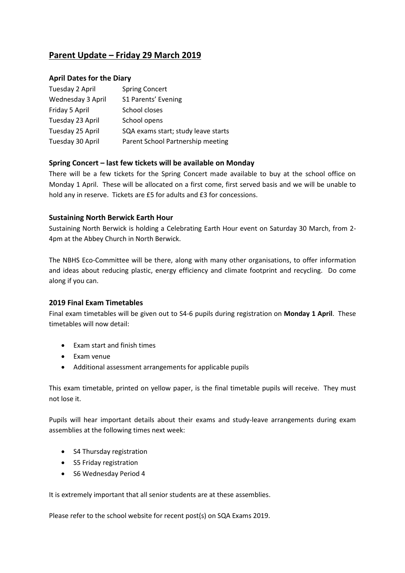# **Parent Update – Friday 29 March 2019**

### **April Dates for the Diary**

| Tuesday 2 April   | <b>Spring Concert</b>               |
|-------------------|-------------------------------------|
| Wednesday 3 April | S1 Parents' Evening                 |
| Friday 5 April    | School closes                       |
| Tuesday 23 April  | School opens                        |
| Tuesday 25 April  | SQA exams start; study leave starts |
| Tuesday 30 April  | Parent School Partnership meeting   |

# **Spring Concert – last few tickets will be available on Monday**

There will be a few tickets for the Spring Concert made available to buy at the school office on Monday 1 April. These will be allocated on a first come, first served basis and we will be unable to hold any in reserve. Tickets are £5 for adults and £3 for concessions.

### **Sustaining North Berwick Earth Hour**

Sustaining North Berwick is holding a Celebrating Earth Hour event on Saturday 30 March, from 2- 4pm at the Abbey Church in North Berwick.

The NBHS Eco-Committee will be there, along with many other organisations, to offer information and ideas about reducing plastic, energy efficiency and climate footprint and recycling. Do come along if you can.

### **2019 Final Exam Timetables**

Final exam timetables will be given out to S4-6 pupils during registration on **Monday 1 April**. These timetables will now detail:

- Exam start and finish times
- Exam venue
- Additional assessment arrangements for applicable pupils

This exam timetable, printed on yellow paper, is the final timetable pupils will receive. They must not lose it.

Pupils will hear important details about their exams and study-leave arrangements during exam assemblies at the following times next week:

- S4 Thursday registration
- S5 Friday registration
- S6 Wednesday Period 4

It is extremely important that all senior students are at these assemblies.

Please refer to the school website for recent post(s) on SQA Exams 2019.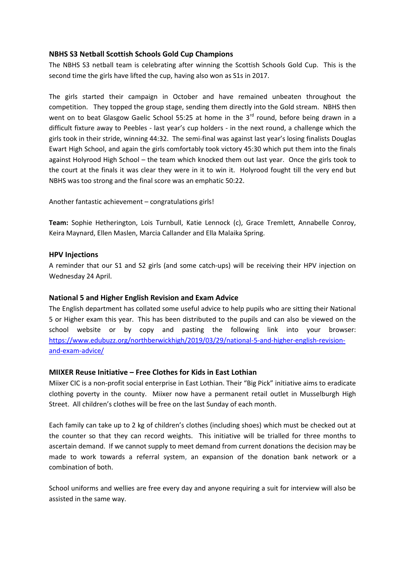### **NBHS S3 Netball Scottish Schools Gold Cup Champions**

The NBHS S3 netball team is celebrating after winning the Scottish Schools Gold Cup. This is the second time the girls have lifted the cup, having also won as S1s in 2017.

The girls started their campaign in October and have remained unbeaten throughout the competition. They topped the group stage, sending them directly into the Gold stream. NBHS then went on to beat Glasgow Gaelic School 55:25 at home in the  $3<sup>rd</sup>$  round, before being drawn in a difficult fixture away to Peebles - last year's cup holders - in the next round, a challenge which the girls took in their stride, winning 44:32. The semi-final was against last year's losing finalists Douglas Ewart High School, and again the girls comfortably took victory 45:30 which put them into the finals against Holyrood High School – the team which knocked them out last year. Once the girls took to the court at the finals it was clear they were in it to win it. Holyrood fought till the very end but NBHS was too strong and the final score was an emphatic 50:22.

Another fantastic achievement – congratulations girls!

**Team:** Sophie Hetherington, Lois Turnbull, Katie Lennock (c), Grace Tremlett, Annabelle Conroy, Keira Maynard, Ellen Maslen, Marcia Callander and Ella Malaika Spring.

#### **HPV Injections**

A reminder that our S1 and S2 girls (and some catch-ups) will be receiving their HPV injection on Wednesday 24 April.

### **National 5 and Higher English Revision and Exam Advice**

The English department has collated some useful advice to help pupils who are sitting their National 5 or Higher exam this year. This has been distributed to the pupils and can also be viewed on the school website or by copy and pasting the following link into your browser: [https://www.edubuzz.org/northberwickhigh/2019/03/29/national-5-and-higher-english-revision](https://www.edubuzz.org/northberwickhigh/2019/03/29/national-5-and-higher-english-revision-and-exam-advice/)[and-exam-advice/](https://www.edubuzz.org/northberwickhigh/2019/03/29/national-5-and-higher-english-revision-and-exam-advice/)

### **MIIXER Reuse Initiative – Free Clothes for Kids in East Lothian**

Miixer CIC is a non-profit social enterprise in East Lothian. Their "Big Pick" initiative aims to eradicate clothing poverty in the county. Miixer now have a permanent retail outlet in Musselburgh High Street. All children's clothes will be free on the last Sunday of each month.

Each family can take up to 2 kg of children's clothes (including shoes) which must be checked out at the counter so that they can record weights. This initiative will be trialled for three months to ascertain demand. If we cannot supply to meet demand from current donations the decision may be made to work towards a referral system, an expansion of the donation bank network or a combination of both.

School uniforms and wellies are free every day and anyone requiring a suit for interview will also be assisted in the same way.